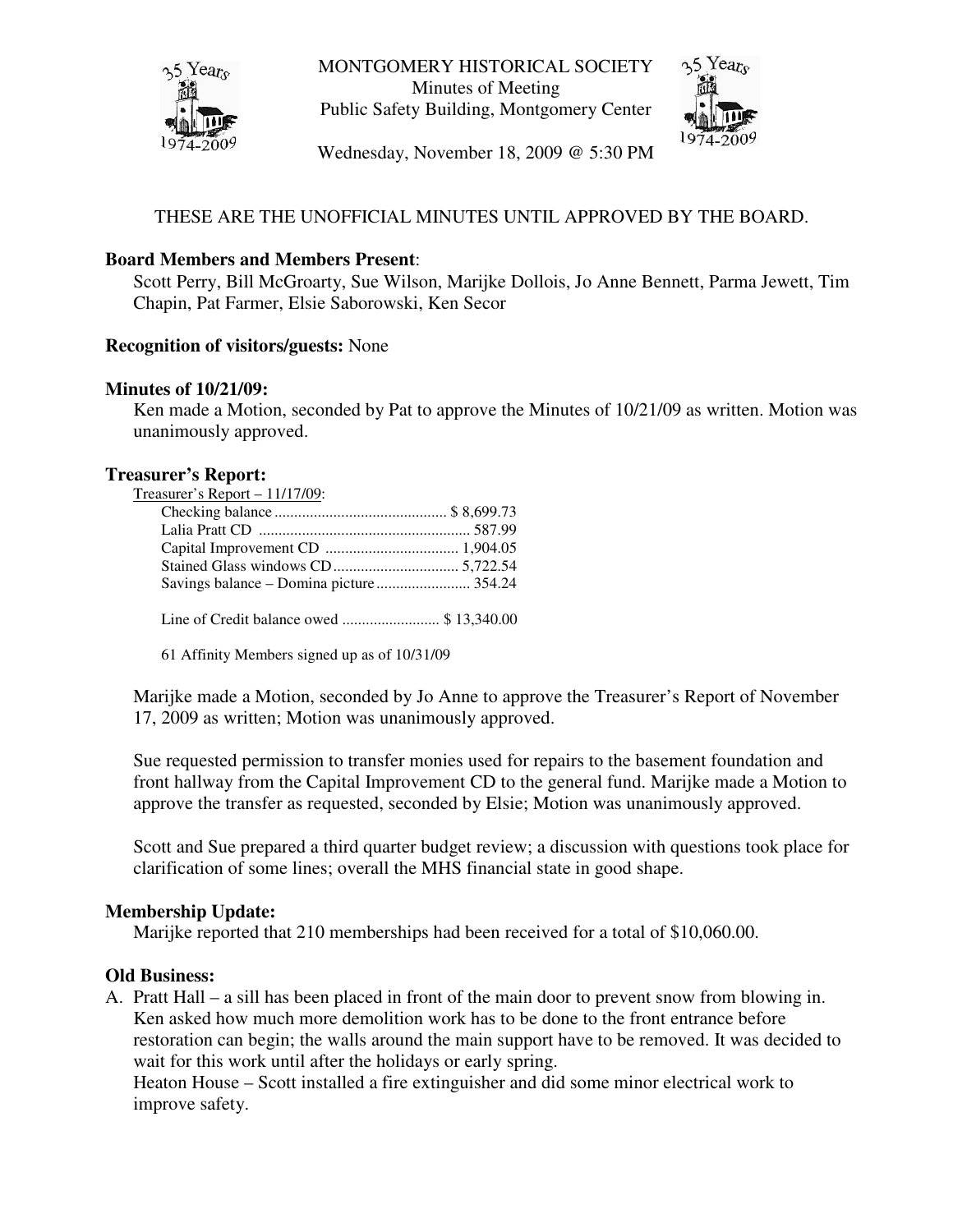

MONTGOMERY HISTORICAL SOCIETY Minutes of Meeting Public Safety Building, Montgomery Center



Wednesday, November 18, 2009 @ 5:30 PM

# THESE ARE THE UNOFFICIAL MINUTES UNTIL APPROVED BY THE BOARD.

### **Board Members and Members Present**:

Scott Perry, Bill McGroarty, Sue Wilson, Marijke Dollois, Jo Anne Bennett, Parma Jewett, Tim Chapin, Pat Farmer, Elsie Saborowski, Ken Secor

### **Recognition of visitors/guests:** None

#### **Minutes of 10/21/09:**

Ken made a Motion, seconded by Pat to approve the Minutes of 10/21/09 as written. Motion was unanimously approved.

#### **Treasurer's Report:**

| Treasurer's Report $-11/17/09$ : |  |
|----------------------------------|--|
|                                  |  |
|                                  |  |
|                                  |  |
|                                  |  |
|                                  |  |
|                                  |  |

Line of Credit balance owed ......................... \$ 13,340.00

61 Affinity Members signed up as of 10/31/09

Marijke made a Motion, seconded by Jo Anne to approve the Treasurer's Report of November 17, 2009 as written; Motion was unanimously approved.

Sue requested permission to transfer monies used for repairs to the basement foundation and front hallway from the Capital Improvement CD to the general fund. Marijke made a Motion to approve the transfer as requested, seconded by Elsie; Motion was unanimously approved.

Scott and Sue prepared a third quarter budget review; a discussion with questions took place for clarification of some lines; overall the MHS financial state in good shape.

#### **Membership Update:**

Marijke reported that 210 memberships had been received for a total of \$10,060.00.

#### **Old Business:**

A. Pratt Hall – a sill has been placed in front of the main door to prevent snow from blowing in. Ken asked how much more demolition work has to be done to the front entrance before restoration can begin; the walls around the main support have to be removed. It was decided to wait for this work until after the holidays or early spring.

Heaton House – Scott installed a fire extinguisher and did some minor electrical work to improve safety.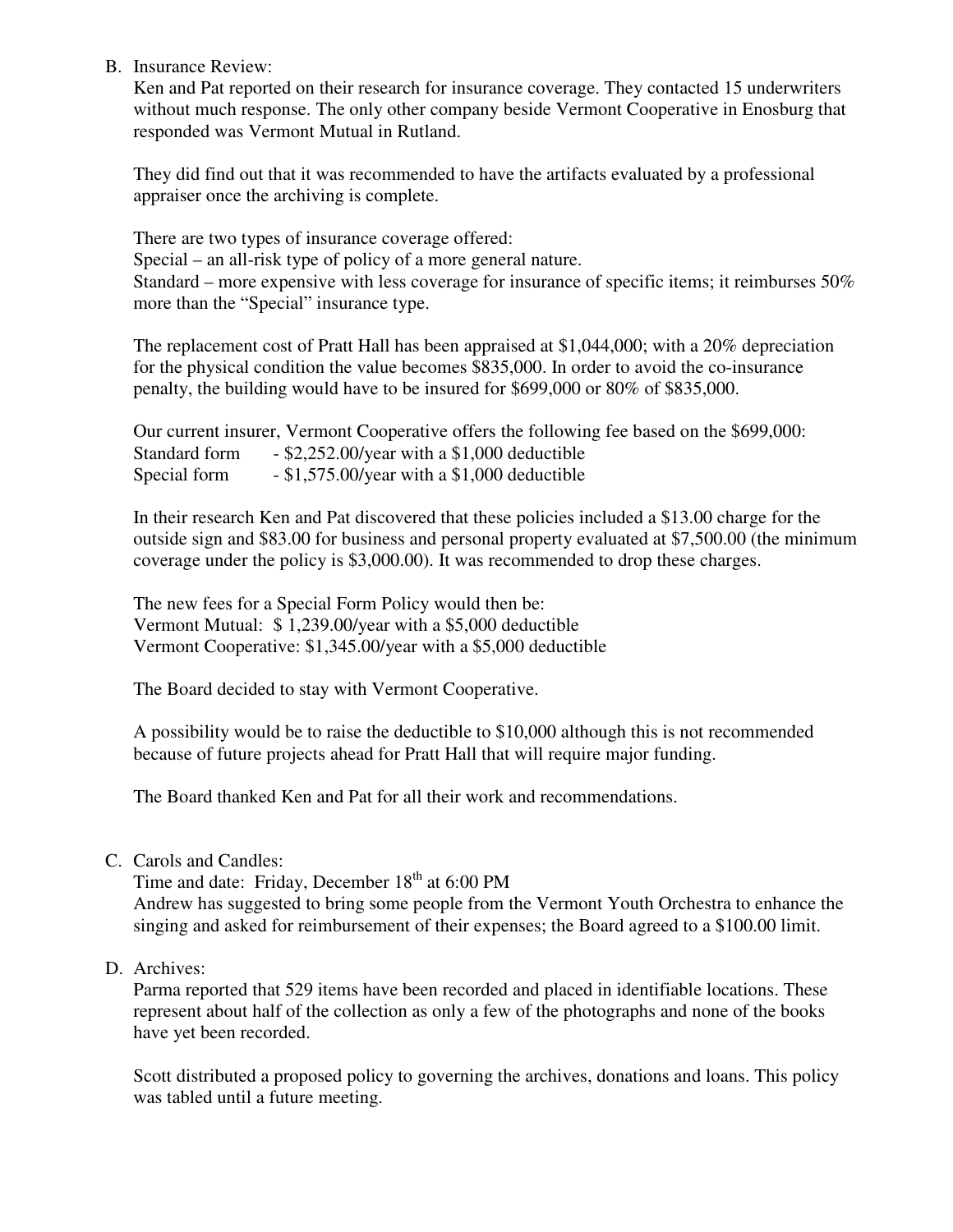B. Insurance Review:

Ken and Pat reported on their research for insurance coverage. They contacted 15 underwriters without much response. The only other company beside Vermont Cooperative in Enosburg that responded was Vermont Mutual in Rutland.

They did find out that it was recommended to have the artifacts evaluated by a professional appraiser once the archiving is complete.

There are two types of insurance coverage offered: Special – an all-risk type of policy of a more general nature. Standard – more expensive with less coverage for insurance of specific items; it reimburses 50% more than the "Special" insurance type.

The replacement cost of Pratt Hall has been appraised at \$1,044,000; with a 20% depreciation for the physical condition the value becomes \$835,000. In order to avoid the co-insurance penalty, the building would have to be insured for \$699,000 or 80% of \$835,000.

Our current insurer, Vermont Cooperative offers the following fee based on the \$699,000: Standard form - \$2,252.00/year with a \$1,000 deductible Special form - \$1,575.00/year with a \$1,000 deductible

In their research Ken and Pat discovered that these policies included a \$13.00 charge for the outside sign and \$83.00 for business and personal property evaluated at \$7,500.00 (the minimum coverage under the policy is \$3,000.00). It was recommended to drop these charges.

The new fees for a Special Form Policy would then be: Vermont Mutual: \$ 1,239.00/year with a \$5,000 deductible Vermont Cooperative: \$1,345.00/year with a \$5,000 deductible

The Board decided to stay with Vermont Cooperative.

A possibility would be to raise the deductible to \$10,000 although this is not recommended because of future projects ahead for Pratt Hall that will require major funding.

The Board thanked Ken and Pat for all their work and recommendations.

C. Carols and Candles:

Time and date: Friday, December 18<sup>th</sup> at 6:00 PM Andrew has suggested to bring some people from the Vermont Youth Orchestra to enhance the singing and asked for reimbursement of their expenses; the Board agreed to a \$100.00 limit.

D. Archives:

Parma reported that 529 items have been recorded and placed in identifiable locations. These represent about half of the collection as only a few of the photographs and none of the books have yet been recorded.

Scott distributed a proposed policy to governing the archives, donations and loans. This policy was tabled until a future meeting.